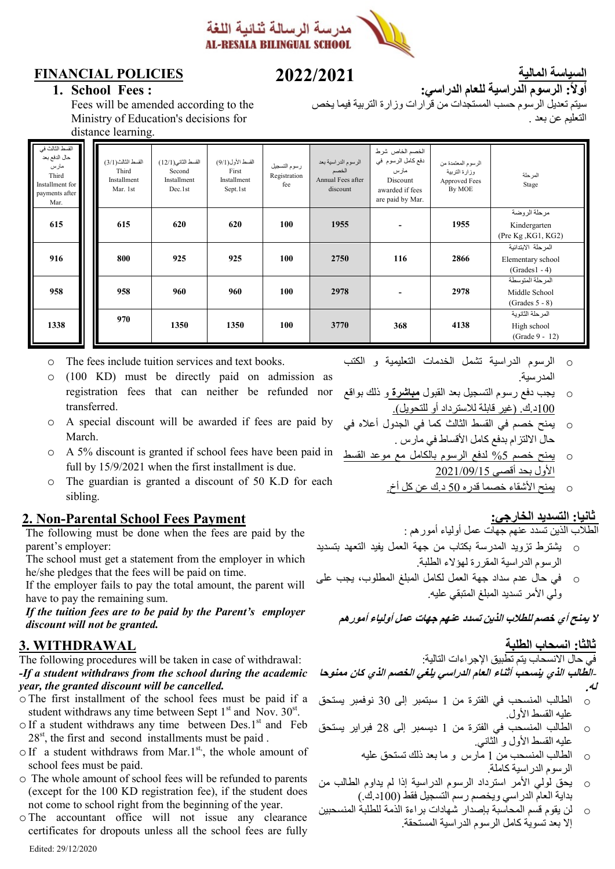

### **FINANCIAL POLICIES**

# **7077/7075**

**السياسة المالية أولا: الرسوم الدراسية للعام الدراسي:**

التعليم عن بعد .

**1. School Fees :**

Fees will be amended according to the Ministry of Education's decisions for distance learning.

|                                                                                                | ఀ                                                      |                                                        |                                                      |                                     |                                                               |                                                                                                  |                                                                |                                                            |
|------------------------------------------------------------------------------------------------|--------------------------------------------------------|--------------------------------------------------------|------------------------------------------------------|-------------------------------------|---------------------------------------------------------------|--------------------------------------------------------------------------------------------------|----------------------------------------------------------------|------------------------------------------------------------|
| القسط الثالث في<br>حال الدفع بعد<br>مارس<br>Third<br>Installment for<br>payments after<br>Mar. | القسط الثالث( 3/1)<br>Third<br>Installment<br>Mar. 1st | القسط الثاني(12/1)<br>Second<br>Installment<br>Dec.1st | القسط الأول(9/1)<br>First<br>Installment<br>Sept.1st | رسوم التسجيل<br>Registration<br>fee | الرسوم الدراسية بعد<br>الخصم<br>Annual Fees after<br>discount | الخصم الخاص شرط<br>دفع كامل الرسوم في<br>مارس<br>Discount<br>awarded if fees<br>are paid by Mar. | الرسوم المعتمدة من<br>وزارة التربية<br>Approved Fees<br>By MOE | المرحلة<br>Stage                                           |
| 615                                                                                            | 615                                                    | 620                                                    | 620                                                  | 100                                 | 1955                                                          |                                                                                                  | 1955                                                           | مرحلة الروضة<br>Kindergarten<br>(Pre Kg, KG1, KG2)         |
| 916                                                                                            | 800                                                    | 925                                                    | 925                                                  | 100                                 | 2750                                                          | 116                                                                                              | 2866                                                           | المرحلة الابتدائية<br>Elementary school<br>$(Grades1 - 4)$ |
| 958                                                                                            | 958                                                    | 960                                                    | 960                                                  | 100                                 | 2978                                                          |                                                                                                  | 2978                                                           | المرحلة المتوسطة<br>Middle School<br>$(Grades 5 - 8)$      |
| 1338                                                                                           | 970                                                    | 1350                                                   | 1350                                                 | 100                                 | 3770                                                          | 368                                                                                              | 4138                                                           | المر حلة الثانوية<br>High school<br>(Grade 9 - 12)         |

- o The fees include tuition services and text books.
- $(100 \text{ KD})$  must be directly paid on admission as registration fees that can neither be refunded nor transferred.
- o A special discount will be awarded if fees are paid by March.
- o A 5% discount is granted if school fees have been paid in full by 15/9/2021 when the first installment is due.
- o The guardian is granted a discount of 50 K.D for each sibling.

#### **2. Non-Parental School Fees Payment**

The following must be done when the fees are paid by the parent's employer:

The school must get a statement from the employer in which he/she pledges that the fees will be paid on time.

If the employer fails to pay the total amount, the parent will have to pay the remaining sum.

*If the tuition fees are to be paid by the Parent's employer discount will not be granted.*

#### **3. WITHDRAWAL**

The following procedures will be taken in case of withdrawal: *-If a student withdraws from the school during the academic year, the granted discount will be cancelled.*

- o The first installment of the school fees must be paid if a student withdraws any time between Sept  $1<sup>st</sup>$  and Nov.  $30<sup>st</sup>$ .
- $\circ$  If a student withdraws any time between Des.1<sup>st</sup> and Feb  $28<sup>st</sup>$ , the first and second installments must be paid.
- $\circ$  If a student withdraws from Mar.1<sup>st</sup>, the whole amount of school fees must be paid.
- o The whole amount of school fees will be refunded to parents (except for the 100 KD registration fee), if the student does not come to school right from the beginning of the year.
- o The accountant office will not issue any clearance certificates for dropouts unless all the school fees are fully

o الرسوم الدراسية تشمل الخدمات التعليمية و الكتب المدرسية.

سيتم تعديل الرسوم حسب المستجدات من قرارات وزارة التربية فيما يخص

- o يجب دفع رسوم التسجيل بعد القبول **مباشرة** و ذلك بواقع 122د.ك. )غير قابلة لالسترداد أو للتحويل(.
- o يمنح خصم في القسط الثالث كما في الجدول أعاله في حال االلتزام بدفع كامل األقساط في مارس .
- o يمنح خصم %5 لدفع الرسوم بالكامل مع موعد القسط األول بحد أقصى 9291/22/15
	- o يمنح األشقاء خصما قدره 52 د.ك عن كل أخ.

#### **ثانيا: التسديد الخارجي:**

الطالب الذين تسدد عنهم جهات عمل أولياء أمورهم :

- o يشترط تزويد المدرسة بكتاب من جهة العمل يفيد التعهد بتسديد الرسوم الدراسية المقررة لهؤالء الطلبة.
- o في حال عدم سداد جهة العمل لكامل المبلغ المطلوب، يجب على ولي الأمر تسديد المبلغ المتبقي عليه.

**ل يمنح أي خصم للطالب الذين تسدد عنهم جهات عمل أولياء أمورهم**

#### **ثالثا: انسحاب الطلبة**

#### في حال االنسحاب يتم تطبيق اإلجراءات التالية: -**الطالب الذي ينسحب أثناء العام الدراسي يلغي الخصم الذي كان ممنوحا**

- **له.**
- o الطالب المنسحب في الفترة من 1 سبتمبر إلى 30 نوفمبر يستحق .<br>عليه القسط الأول
- o الطالب المنسحب في الفترة من 1 ديسمبر إلى 92 فبراير يستحق عليه القسط الأول و الثانـي<sub>.</sub>
	- o الطالب المنسحب من 1 مارس و ما بعد ذلك تستحق عليه الرسوم الدراسية كاملة.
- o يحق لولي األمر استرداد الرسوم الدراسية إذا لم يداوم الطالب من بداية العام الدراسي ويخصم رسم التسجيل فقط )122د.ك.(
- o لن يقوم قسم المحاسبة بإصدار شهادات براءة الذمة للطلبة المنسحبين إال بعد تسوية كامل الرسوم الدراسية المستحقة.